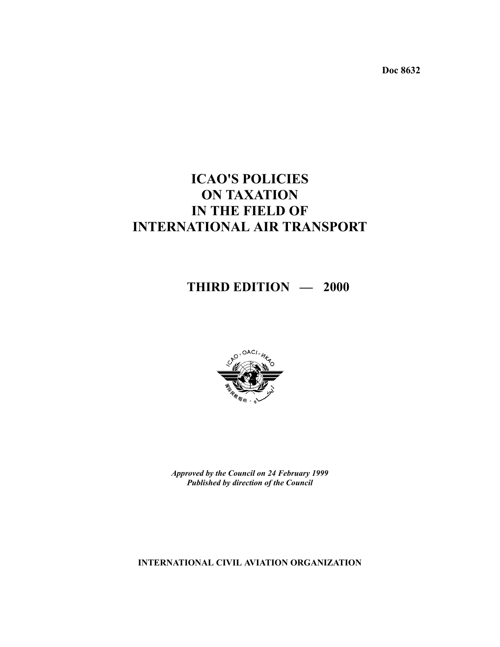**Doc 8632**

# **ICAO'S POLICIES ON TAXATION IN THE FIELD OF INTERNATIONAL AIR TRANSPORT**

**THIRD EDITION — 2000**



*Approved by the Council on 24 February 1999 Published by direction of the Council*

**INTERNATIONAL CIVIL AVIATION ORGANIZATION**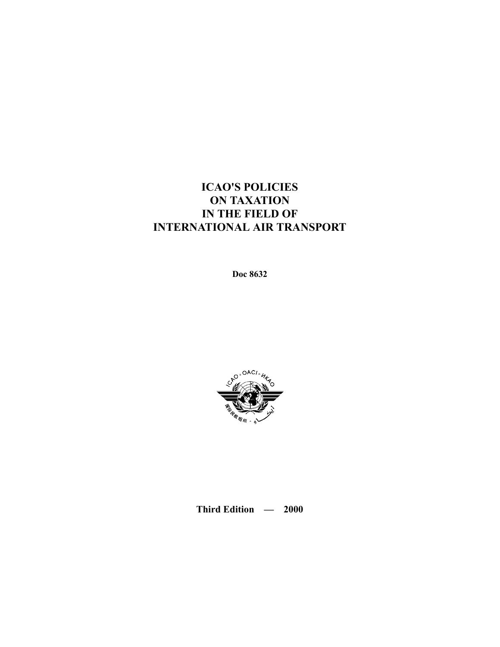## **ICAO'S POLICIES ON TAXATION IN THE FIELD OF INTERNATIONAL AIR TRANSPORT**

**Doc 8632**



**Third Edition — 2000**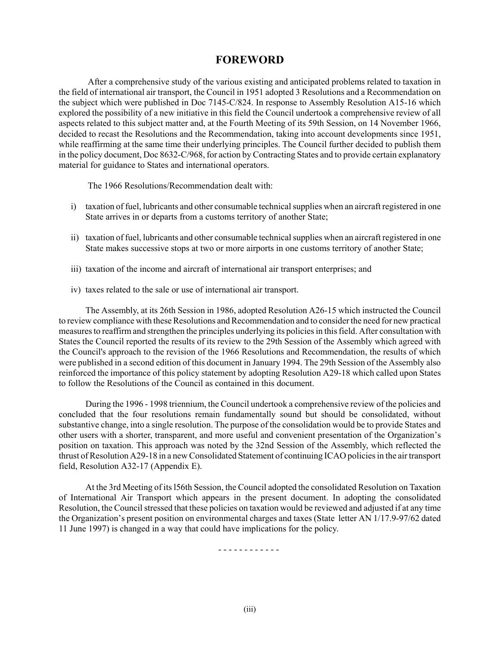## **FOREWORD**

After a comprehensive study of the various existing and anticipated problems related to taxation in the field of international air transport, the Council in 1951 adopted 3 Resolutions and a Recommendation on the subject which were published in Doc 7145-C/824. In response to Assembly Resolution A15-16 which explored the possibility of a new initiative in this field the Council undertook a comprehensive review of all aspects related to this subject matter and, at the Fourth Meeting of its 59th Session, on 14 November 1966, decided to recast the Resolutions and the Recommendation, taking into account developments since 1951, while reaffirming at the same time their underlying principles. The Council further decided to publish them in the policy document, Doc 8632-C/968, for action by Contracting States and to provide certain explanatory material for guidance to States and international operators.

The 1966 Resolutions/Recommendation dealt with:

- i) taxation of fuel, lubricants and other consumable technical supplies when an aircraft registered in one State arrives in or departs from a customs territory of another State;
- ii) taxation of fuel, lubricants and other consumable technical supplies when an aircraft registered in one State makes successive stops at two or more airports in one customs territory of another State;
- iii) taxation of the income and aircraft of international air transport enterprises; and
- iv) taxes related to the sale or use of international air transport.

The Assembly, at its 26th Session in 1986, adopted Resolution A26-15 which instructed the Council to review compliance with these Resolutions and Recommendation and to consider the need for new practical measures to reaffirm and strengthen the principles underlying its policies in this field. After consultation with States the Council reported the results of its review to the 29th Session of the Assembly which agreed with the Council's approach to the revision of the 1966 Resolutions and Recommendation, the results of which were published in a second edition of this document in January 1994. The 29th Session of the Assembly also reinforced the importance of this policy statement by adopting Resolution A29-18 which called upon States to follow the Resolutions of the Council as contained in this document.

During the 1996 - 1998 triennium, the Council undertook a comprehensive review of the policies and concluded that the four resolutions remain fundamentally sound but should be consolidated, without substantive change, into a single resolution. The purpose of the consolidation would be to provide States and other users with a shorter, transparent, and more useful and convenient presentation of the Organization's position on taxation. This approach was noted by the 32nd Session of the Assembly, which reflected the thrust of Resolution A29-18 in a new Consolidated Statement of continuing ICAO policies in the air transport field, Resolution A32-17 (Appendix E).

At the 3rd Meeting of its l56th Session, the Council adopted the consolidated Resolution on Taxation of International Air Transport which appears in the present document. In adopting the consolidated Resolution, the Council stressed that these policies on taxation would be reviewed and adjusted if at any time the Organization's present position on environmental charges and taxes (State letter AN 1/17.9-97/62 dated 11 June 1997) is changed in a way that could have implications for the policy.

- - - - - - - - - - - -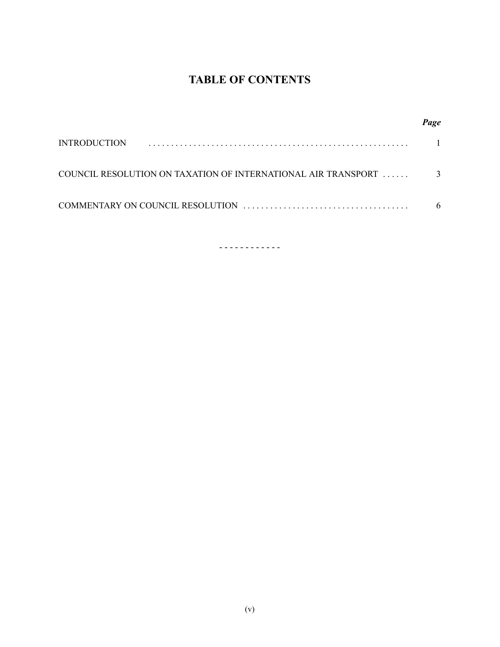## **TABLE OF CONTENTS**

|                                                               | Page          |
|---------------------------------------------------------------|---------------|
| <b>INTRODUCTION</b>                                           |               |
| COUNCIL RESOLUTION ON TAXATION OF INTERNATIONAL AIR TRANSPORT | $\mathcal{R}$ |
|                                                               |               |

- - - - - - - - - - - -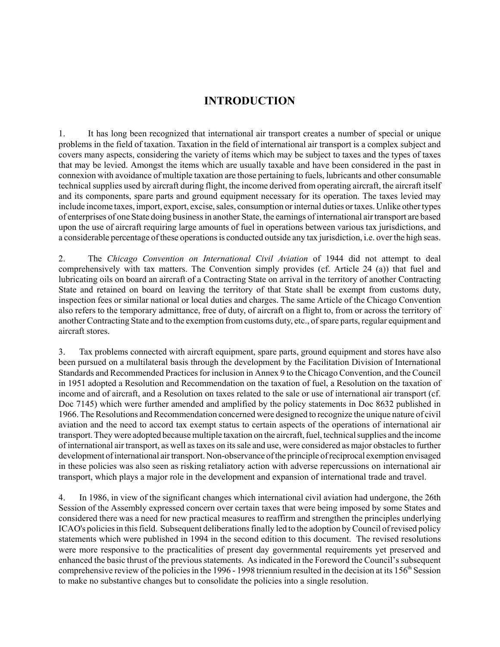## **INTRODUCTION**

1. It has long been recognized that international air transport creates a number of special or unique problems in the field of taxation. Taxation in the field of international air transport is a complex subject and covers many aspects, considering the variety of items which may be subject to taxes and the types of taxes that may be levied. Amongst the items which are usually taxable and have been considered in the past in connexion with avoidance of multiple taxation are those pertaining to fuels, lubricants and other consumable technical supplies used by aircraft during flight, the income derived from operating aircraft, the aircraft itself and its components, spare parts and ground equipment necessary for its operation. The taxes levied may include income taxes, import, export, excise, sales, consumption or internal duties or taxes. Unlike other types of enterprises of one State doing business in another State, the earnings of international air transport are based upon the use of aircraft requiring large amounts of fuel in operations between various tax jurisdictions, and a considerable percentage of these operations is conducted outside any tax jurisdiction, i.e. over the high seas.

2. The *Chicago Convention on International Civil Aviation* of 1944 did not attempt to deal comprehensively with tax matters. The Convention simply provides (cf. Article 24 (a)) that fuel and lubricating oils on board an aircraft of a Contracting State on arrival in the territory of another Contracting State and retained on board on leaving the territory of that State shall be exempt from customs duty, inspection fees or similar national or local duties and charges. The same Article of the Chicago Convention also refers to the temporary admittance, free of duty, of aircraft on a flight to, from or across the territory of another Contracting State and to the exemption from customs duty, etc., of spare parts, regular equipment and aircraft stores.

3. Tax problems connected with aircraft equipment, spare parts, ground equipment and stores have also been pursued on a multilateral basis through the development by the Facilitation Division of International Standards and Recommended Practices for inclusion in Annex 9 to the Chicago Convention, and the Council in 1951 adopted a Resolution and Recommendation on the taxation of fuel, a Resolution on the taxation of income and of aircraft, and a Resolution on taxes related to the sale or use of international air transport (cf. Doc 7145) which were further amended and amplified by the policy statements in Doc 8632 published in 1966. The Resolutions and Recommendation concerned were designed to recognize the unique nature of civil aviation and the need to accord tax exempt status to certain aspects of the operations of international air transport. They were adopted because multiple taxation on the aircraft, fuel, technical supplies and the income of international air transport, as well as taxes on its sale and use, were considered as major obstacles to further development of international air transport. Non-observance of the principle of reciprocal exemption envisaged in these policies was also seen as risking retaliatory action with adverse repercussions on international air transport, which plays a major role in the development and expansion of international trade and travel.

4. In 1986, in view of the significant changes which international civil aviation had undergone, the 26th Session of the Assembly expressed concern over certain taxes that were being imposed by some States and considered there was a need for new practical measures to reaffirm and strengthen the principles underlying ICAO's policies in this field. Subsequent deliberations finally led to the adoption by Council of revised policy statements which were published in 1994 in the second edition to this document. The revised resolutions were more responsive to the practicalities of present day governmental requirements yet preserved and enhanced the basic thrust of the previous statements. As indicated in the Foreword the Council's subsequent comprehensive review of the policies in the 1996 - 1998 triennium resulted in the decision at its 156<sup>th</sup> Session to make no substantive changes but to consolidate the policies into a single resolution.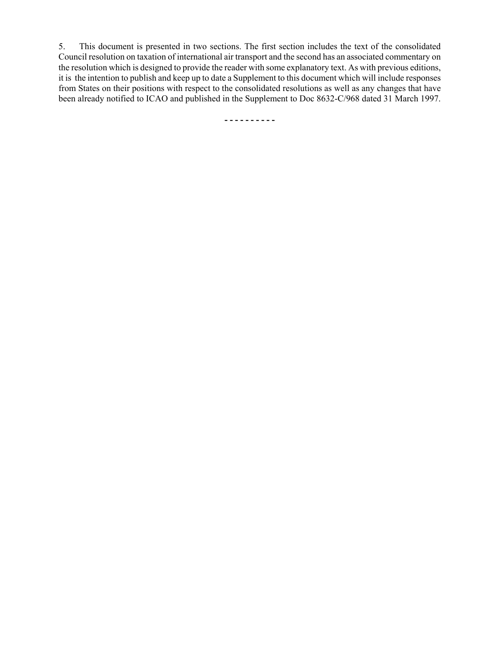5. This document is presented in two sections. The first section includes the text of the consolidated Council resolution on taxation of international air transport and the second has an associated commentary on the resolution which is designed to provide the reader with some explanatory text. As with previous editions, it is the intention to publish and keep up to date a Supplement to this document which will include responses from States on their positions with respect to the consolidated resolutions as well as any changes that have been already notified to ICAO and published in the Supplement to Doc 8632-C/968 dated 31 March 1997.

**- - - - - - - - - -**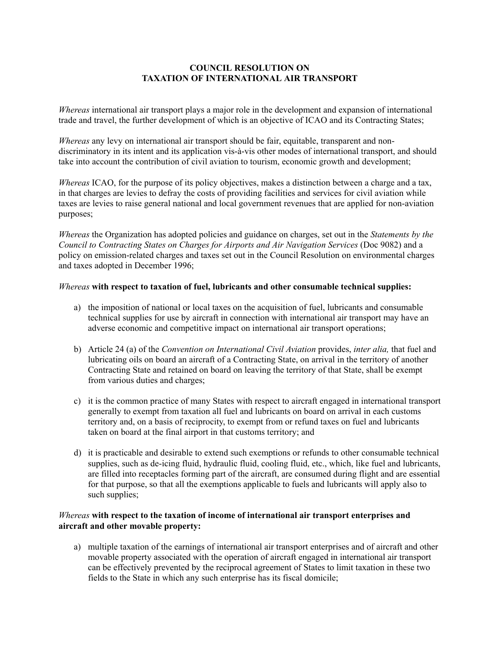#### **COUNCIL RESOLUTION ON TAXATION OF INTERNATIONAL AIR TRANSPORT**

*Whereas* international air transport plays a major role in the development and expansion of international trade and travel, the further development of which is an objective of ICAO and its Contracting States;

*Whereas* any levy on international air transport should be fair, equitable, transparent and nondiscriminatory in its intent and its application vis-à-vis other modes of international transport, and should take into account the contribution of civil aviation to tourism, economic growth and development;

*Whereas* ICAO, for the purpose of its policy objectives, makes a distinction between a charge and a tax, in that charges are levies to defray the costs of providing facilities and services for civil aviation while taxes are levies to raise general national and local government revenues that are applied for non-aviation purposes;

*Whereas* the Organization has adopted policies and guidance on charges, set out in the *Statements by the Council to Contracting States on Charges for Airports and Air Navigation Services* (Doc 9082) and a policy on emission-related charges and taxes set out in the Council Resolution on environmental charges and taxes adopted in December 1996;

#### *Whereas* **with respect to taxation of fuel, lubricants and other consumable technical supplies:**

- a) the imposition of national or local taxes on the acquisition of fuel, lubricants and consumable technical supplies for use by aircraft in connection with international air transport may have an adverse economic and competitive impact on international air transport operations;
- b) Article 24 (a) of the *Convention on International Civil Aviation* provides, *inter alia,* that fuel and lubricating oils on board an aircraft of a Contracting State, on arrival in the territory of another Contracting State and retained on board on leaving the territory of that State, shall be exempt from various duties and charges;
- c) it is the common practice of many States with respect to aircraft engaged in international transport generally to exempt from taxation all fuel and lubricants on board on arrival in each customs territory and, on a basis of reciprocity, to exempt from or refund taxes on fuel and lubricants taken on board at the final airport in that customs territory; and
- d) it is practicable and desirable to extend such exemptions or refunds to other consumable technical supplies, such as de-icing fluid, hydraulic fluid, cooling fluid, etc., which, like fuel and lubricants, are filled into receptacles forming part of the aircraft, are consumed during flight and are essential for that purpose, so that all the exemptions applicable to fuels and lubricants will apply also to such supplies;

#### *Whereas* **with respect to the taxation of income of international air transport enterprises and aircraft and other movable property:**

a) multiple taxation of the earnings of international air transport enterprises and of aircraft and other movable property associated with the operation of aircraft engaged in international air transport can be effectively prevented by the reciprocal agreement of States to limit taxation in these two fields to the State in which any such enterprise has its fiscal domicile;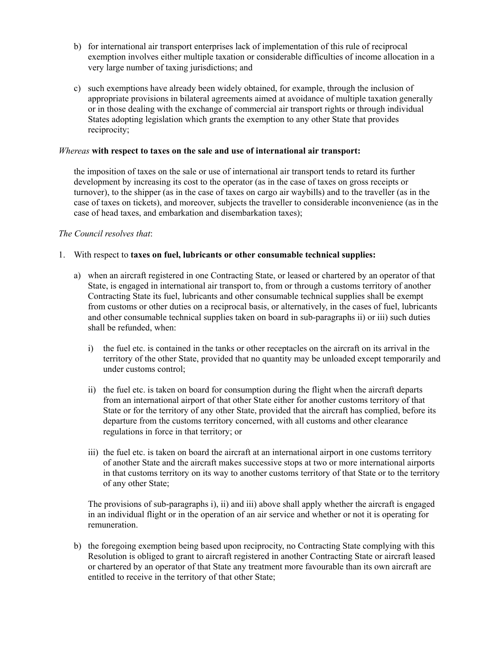- b) for international air transport enterprises lack of implementation of this rule of reciprocal exemption involves either multiple taxation or considerable difficulties of income allocation in a very large number of taxing jurisdictions; and
- c) such exemptions have already been widely obtained, for example, through the inclusion of appropriate provisions in bilateral agreements aimed at avoidance of multiple taxation generally or in those dealing with the exchange of commercial air transport rights or through individual States adopting legislation which grants the exemption to any other State that provides reciprocity;

#### *Whereas* **with respect to taxes on the sale and use of international air transport:**

the imposition of taxes on the sale or use of international air transport tends to retard its further development by increasing its cost to the operator (as in the case of taxes on gross receipts or turnover), to the shipper (as in the case of taxes on cargo air waybills) and to the traveller (as in the case of taxes on tickets), and moreover, subjects the traveller to considerable inconvenience (as in the case of head taxes, and embarkation and disembarkation taxes);

#### *The Council resolves that*:

#### 1. With respect to **taxes on fuel, lubricants or other consumable technical supplies:**

- a) when an aircraft registered in one Contracting State, or leased or chartered by an operator of that State, is engaged in international air transport to, from or through a customs territory of another Contracting State its fuel, lubricants and other consumable technical supplies shall be exempt from customs or other duties on a reciprocal basis, or alternatively, in the cases of fuel, lubricants and other consumable technical supplies taken on board in sub-paragraphs ii) or iii) such duties shall be refunded, when:
	- i) the fuel etc. is contained in the tanks or other receptacles on the aircraft on its arrival in the territory of the other State, provided that no quantity may be unloaded except temporarily and under customs control;
	- ii) the fuel etc. is taken on board for consumption during the flight when the aircraft departs from an international airport of that other State either for another customs territory of that State or for the territory of any other State, provided that the aircraft has complied, before its departure from the customs territory concerned, with all customs and other clearance regulations in force in that territory; or
	- iii) the fuel etc. is taken on board the aircraft at an international airport in one customs territory of another State and the aircraft makes successive stops at two or more international airports in that customs territory on its way to another customs territory of that State or to the territory of any other State;

The provisions of sub-paragraphs i), ii) and iii) above shall apply whether the aircraft is engaged in an individual flight or in the operation of an air service and whether or not it is operating for remuneration.

b) the foregoing exemption being based upon reciprocity, no Contracting State complying with this Resolution is obliged to grant to aircraft registered in another Contracting State or aircraft leased or chartered by an operator of that State any treatment more favourable than its own aircraft are entitled to receive in the territory of that other State;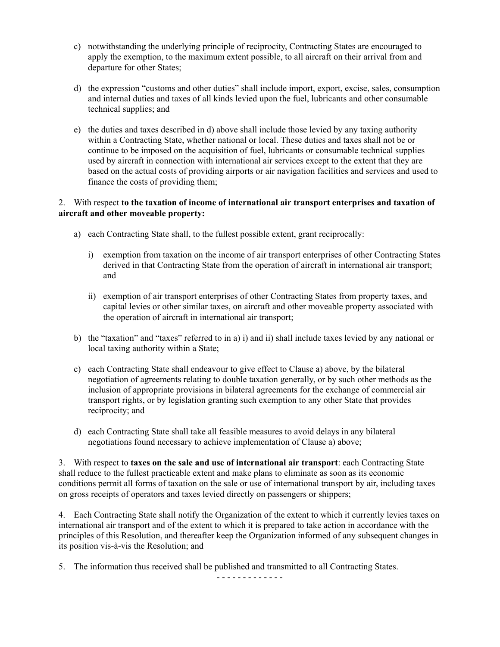- c) notwithstanding the underlying principle of reciprocity, Contracting States are encouraged to apply the exemption, to the maximum extent possible, to all aircraft on their arrival from and departure for other States;
- d) the expression "customs and other duties" shall include import, export, excise, sales, consumption and internal duties and taxes of all kinds levied upon the fuel, lubricants and other consumable technical supplies; and
- e) the duties and taxes described in d) above shall include those levied by any taxing authority within a Contracting State, whether national or local. These duties and taxes shall not be or continue to be imposed on the acquisition of fuel, lubricants or consumable technical supplies used by aircraft in connection with international air services except to the extent that they are based on the actual costs of providing airports or air navigation facilities and services and used to finance the costs of providing them;

#### 2. With respect **to the taxation of income of international air transport enterprises and taxation of aircraft and other moveable property:**

- a) each Contracting State shall, to the fullest possible extent, grant reciprocally:
	- i) exemption from taxation on the income of air transport enterprises of other Contracting States derived in that Contracting State from the operation of aircraft in international air transport; and
	- ii) exemption of air transport enterprises of other Contracting States from property taxes, and capital levies or other similar taxes, on aircraft and other moveable property associated with the operation of aircraft in international air transport;
- b) the "taxation" and "taxes" referred to in a) i) and ii) shall include taxes levied by any national or local taxing authority within a State;
- c) each Contracting State shall endeavour to give effect to Clause a) above, by the bilateral negotiation of agreements relating to double taxation generally, or by such other methods as the inclusion of appropriate provisions in bilateral agreements for the exchange of commercial air transport rights, or by legislation granting such exemption to any other State that provides reciprocity; and
- d) each Contracting State shall take all feasible measures to avoid delays in any bilateral negotiations found necessary to achieve implementation of Clause a) above;

3. With respect to **taxes on the sale and use of international air transport**: each Contracting State shall reduce to the fullest practicable extent and make plans to eliminate as soon as its economic conditions permit all forms of taxation on the sale or use of international transport by air, including taxes on gross receipts of operators and taxes levied directly on passengers or shippers;

4. Each Contracting State shall notify the Organization of the extent to which it currently levies taxes on international air transport and of the extent to which it is prepared to take action in accordance with the principles of this Resolution, and thereafter keep the Organization informed of any subsequent changes in its position vis-à-vis the Resolution; and

5. The information thus received shall be published and transmitted to all Contracting States.

- - - - - - - - - - - - -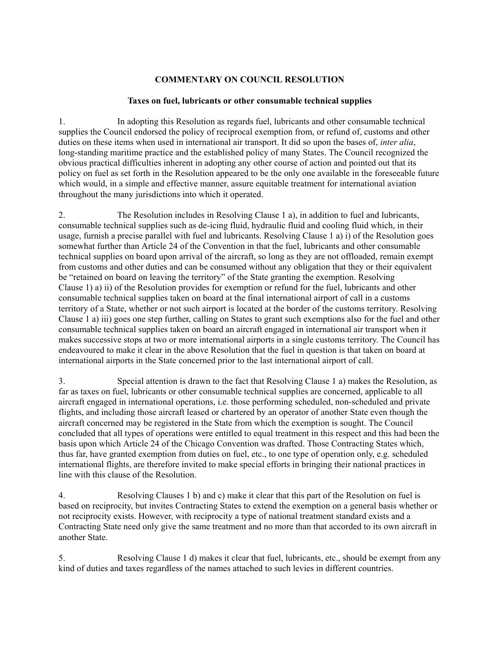#### **COMMENTARY ON COUNCIL RESOLUTION**

#### **Taxes on fuel, lubricants or other consumable technical supplies**

1. In adopting this Resolution as regards fuel, lubricants and other consumable technical supplies the Council endorsed the policy of reciprocal exemption from, or refund of, customs and other duties on these items when used in international air transport. It did so upon the bases of, *inter alia*, long-standing maritime practice and the established policy of many States. The Council recognized the obvious practical difficulties inherent in adopting any other course of action and pointed out that its policy on fuel as set forth in the Resolution appeared to be the only one available in the foreseeable future which would, in a simple and effective manner, assure equitable treatment for international aviation throughout the many jurisdictions into which it operated.

2. The Resolution includes in Resolving Clause 1 a), in addition to fuel and lubricants, consumable technical supplies such as de-icing fluid, hydraulic fluid and cooling fluid which, in their usage, furnish a precise parallel with fuel and lubricants. Resolving Clause 1 a) i) of the Resolution goes somewhat further than Article 24 of the Convention in that the fuel, lubricants and other consumable technical supplies on board upon arrival of the aircraft, so long as they are not offloaded, remain exempt from customs and other duties and can be consumed without any obligation that they or their equivalent be "retained on board on leaving the territory" of the State granting the exemption. Resolving Clause 1) a) ii) of the Resolution provides for exemption or refund for the fuel, lubricants and other consumable technical supplies taken on board at the final international airport of call in a customs territory of a State, whether or not such airport is located at the border of the customs territory. Resolving Clause 1 a) iii) goes one step further, calling on States to grant such exemptions also for the fuel and other consumable technical supplies taken on board an aircraft engaged in international air transport when it makes successive stops at two or more international airports in a single customs territory. The Council has endeavoured to make it clear in the above Resolution that the fuel in question is that taken on board at international airports in the State concerned prior to the last international airport of call.

3. Special attention is drawn to the fact that Resolving Clause 1 a) makes the Resolution, as far as taxes on fuel, lubricants or other consumable technical supplies are concerned, applicable to all aircraft engaged in international operations, i.e. those performing scheduled, non-scheduled and private flights, and including those aircraft leased or chartered by an operator of another State even though the aircraft concerned may be registered in the State from which the exemption is sought. The Council concluded that all types of operations were entitled to equal treatment in this respect and this had been the basis upon which Article 24 of the Chicago Convention was drafted. Those Contracting States which, thus far, have granted exemption from duties on fuel, etc., to one type of operation only, e.g. scheduled international flights, are therefore invited to make special efforts in bringing their national practices in line with this clause of the Resolution.

4. Resolving Clauses 1 b) and c) make it clear that this part of the Resolution on fuel is based on reciprocity, but invites Contracting States to extend the exemption on a general basis whether or not reciprocity exists. However, with reciprocity a type of national treatment standard exists and a Contracting State need only give the same treatment and no more than that accorded to its own aircraft in another State.

5. Resolving Clause 1 d) makes it clear that fuel, lubricants, etc., should be exempt from any kind of duties and taxes regardless of the names attached to such levies in different countries.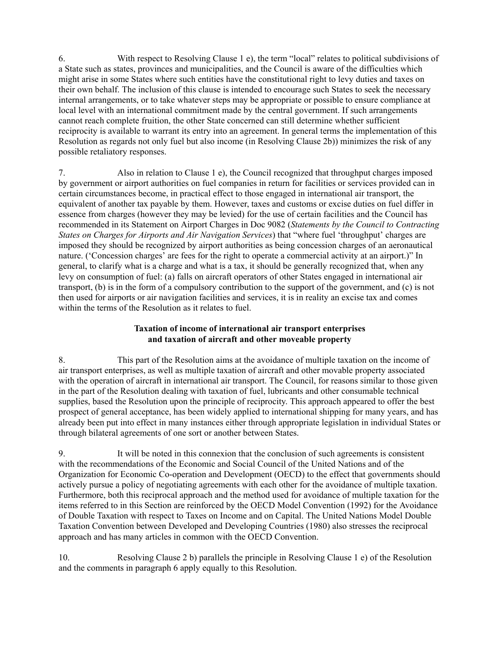6. With respect to Resolving Clause 1 e), the term "local" relates to political subdivisions of a State such as states, provinces and municipalities, and the Council is aware of the difficulties which might arise in some States where such entities have the constitutional right to levy duties and taxes on their own behalf. The inclusion of this clause is intended to encourage such States to seek the necessary internal arrangements, or to take whatever steps may be appropriate or possible to ensure compliance at local level with an international commitment made by the central government. If such arrangements cannot reach complete fruition, the other State concerned can still determine whether sufficient reciprocity is available to warrant its entry into an agreement. In general terms the implementation of this Resolution as regards not only fuel but also income (in Resolving Clause 2b)) minimizes the risk of any possible retaliatory responses.

7. Also in relation to Clause 1 e), the Council recognized that throughput charges imposed by government or airport authorities on fuel companies in return for facilities or services provided can in certain circumstances become, in practical effect to those engaged in international air transport, the equivalent of another tax payable by them. However, taxes and customs or excise duties on fuel differ in essence from charges (however they may be levied) for the use of certain facilities and the Council has recommended in its Statement on Airport Charges in Doc 9082 (*Statements by the Council to Contracting States on Charges for Airports and Air Navigation Services*) that "where fuel 'throughput' charges are imposed they should be recognized by airport authorities as being concession charges of an aeronautical nature. ('Concession charges' are fees for the right to operate a commercial activity at an airport.)" In general, to clarify what is a charge and what is a tax, it should be generally recognized that, when any levy on consumption of fuel: (a) falls on aircraft operators of other States engaged in international air transport, (b) is in the form of a compulsory contribution to the support of the government, and (c) is not then used for airports or air navigation facilities and services, it is in reality an excise tax and comes within the terms of the Resolution as it relates to fuel.

### **Taxation of income of international air transport enterprises and taxation of aircraft and other moveable property**

8. This part of the Resolution aims at the avoidance of multiple taxation on the income of air transport enterprises, as well as multiple taxation of aircraft and other movable property associated with the operation of aircraft in international air transport. The Council, for reasons similar to those given in the part of the Resolution dealing with taxation of fuel, lubricants and other consumable technical supplies, based the Resolution upon the principle of reciprocity. This approach appeared to offer the best prospect of general acceptance, has been widely applied to international shipping for many years, and has already been put into effect in many instances either through appropriate legislation in individual States or through bilateral agreements of one sort or another between States.

9. It will be noted in this connexion that the conclusion of such agreements is consistent with the recommendations of the Economic and Social Council of the United Nations and of the Organization for Economic Co-operation and Development (OECD) to the effect that governments should actively pursue a policy of negotiating agreements with each other for the avoidance of multiple taxation. Furthermore, both this reciprocal approach and the method used for avoidance of multiple taxation for the items referred to in this Section are reinforced by the OECD Model Convention (1992) for the Avoidance of Double Taxation with respect to Taxes on Income and on Capital. The United Nations Model Double Taxation Convention between Developed and Developing Countries (1980) also stresses the reciprocal approach and has many articles in common with the OECD Convention.

10. Resolving Clause 2 b) parallels the principle in Resolving Clause 1 e) of the Resolution and the comments in paragraph 6 apply equally to this Resolution.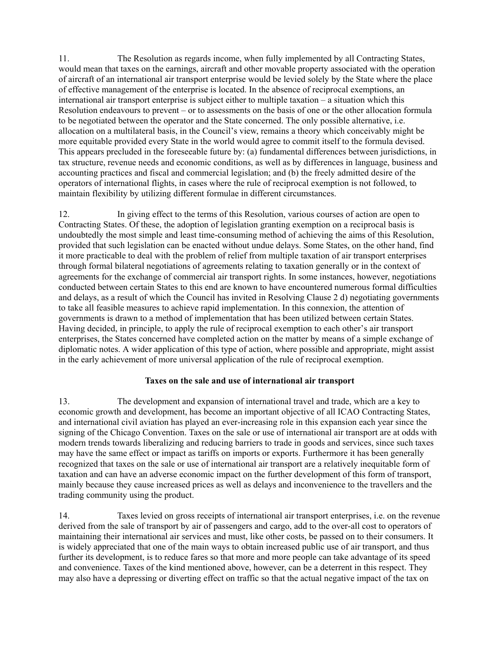11. The Resolution as regards income, when fully implemented by all Contracting States, would mean that taxes on the earnings, aircraft and other movable property associated with the operation of aircraft of an international air transport enterprise would be levied solely by the State where the place of effective management of the enterprise is located. In the absence of reciprocal exemptions, an international air transport enterprise is subject either to multiple taxation – a situation which this Resolution endeavours to prevent – or to assessments on the basis of one or the other allocation formula to be negotiated between the operator and the State concerned. The only possible alternative, i.e. allocation on a multilateral basis, in the Council's view, remains a theory which conceivably might be more equitable provided every State in the world would agree to commit itself to the formula devised. This appears precluded in the foreseeable future by: (a) fundamental differences between jurisdictions, in tax structure, revenue needs and economic conditions, as well as by differences in language, business and accounting practices and fiscal and commercial legislation; and (b) the freely admitted desire of the operators of international flights, in cases where the rule of reciprocal exemption is not followed, to maintain flexibility by utilizing different formulae in different circumstances.

12. In giving effect to the terms of this Resolution, various courses of action are open to Contracting States. Of these, the adoption of legislation granting exemption on a reciprocal basis is undoubtedly the most simple and least time-consuming method of achieving the aims of this Resolution, provided that such legislation can be enacted without undue delays. Some States, on the other hand, find it more practicable to deal with the problem of relief from multiple taxation of air transport enterprises through formal bilateral negotiations of agreements relating to taxation generally or in the context of agreements for the exchange of commercial air transport rights. In some instances, however, negotiations conducted between certain States to this end are known to have encountered numerous formal difficulties and delays, as a result of which the Council has invited in Resolving Clause 2 d) negotiating governments to take all feasible measures to achieve rapid implementation. In this connexion, the attention of governments is drawn to a method of implementation that has been utilized between certain States. Having decided, in principle, to apply the rule of reciprocal exemption to each other's air transport enterprises, the States concerned have completed action on the matter by means of a simple exchange of diplomatic notes. A wider application of this type of action, where possible and appropriate, might assist in the early achievement of more universal application of the rule of reciprocal exemption.

#### **Taxes on the sale and use of international air transport**

13. The development and expansion of international travel and trade, which are a key to economic growth and development, has become an important objective of all ICAO Contracting States, and international civil aviation has played an ever-increasing role in this expansion each year since the signing of the Chicago Convention. Taxes on the sale or use of international air transport are at odds with modern trends towards liberalizing and reducing barriers to trade in goods and services, since such taxes may have the same effect or impact as tariffs on imports or exports. Furthermore it has been generally recognized that taxes on the sale or use of international air transport are a relatively inequitable form of taxation and can have an adverse economic impact on the further development of this form of transport, mainly because they cause increased prices as well as delays and inconvenience to the travellers and the trading community using the product.

14. Taxes levied on gross receipts of international air transport enterprises, i.e. on the revenue derived from the sale of transport by air of passengers and cargo, add to the over-all cost to operators of maintaining their international air services and must, like other costs, be passed on to their consumers. It is widely appreciated that one of the main ways to obtain increased public use of air transport, and thus further its development, is to reduce fares so that more and more people can take advantage of its speed and convenience. Taxes of the kind mentioned above, however, can be a deterrent in this respect. They may also have a depressing or diverting effect on traffic so that the actual negative impact of the tax on